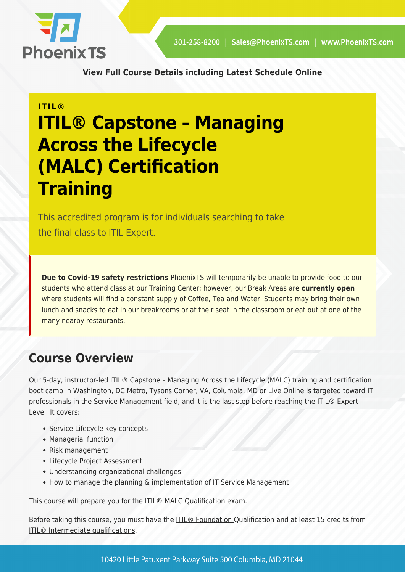

**[View Full Course Details including Latest Schedule Online](https://phoenixts.com/training-courses/itil-capstone-managing-across-lifecycle/)**

## **ITIL® ITIL® Capstone – Managing Across the Lifecycle (MALC) Certification Training**

This accredited program is for individuals searching to take the final class to ITIL Expert.

**Due to Covid-19 safety restrictions** PhoenixTS will temporarily be unable to provide food to our students who attend class at our Training Center; however, our Break Areas are **currently open** where students will find a constant supply of Coffee, Tea and Water. Students may bring their own lunch and snacks to eat in our breakrooms or at their seat in the classroom or eat out at one of the many nearby restaurants.

## **Course Overview**

Our 5-day, instructor-led ITIL® Capstone – Managing Across the Lifecycle (MALC) training and certification boot camp in Washington, DC Metro, Tysons Corner, VA, Columbia, MD or Live Online is targeted toward IT professionals in the Service Management field, and it is the last step before reaching the ITIL® Expert Level. It covers:

- Service Lifecycle key concepts
- Managerial function
- Risk management
- Lifecycle Project Assessment
- Understanding organizational challenges
- How to manage the planning & implementation of IT Service Management

This course will prepare you for the ITIL® MALC Qualification exam.

Before taking this course, you must have the [ITIL® Foundation Q](https://phoenixts.com/training-courses/itil-foundation/)ualification and at least 15 credits from [ITIL® Intermediate qualifications.](https://phoenixts.com/courses/?brand[]=itil-training-certification-dc-md-va)

10420 Little Patuxent Parkway Suite 500 Columbia, MD 21044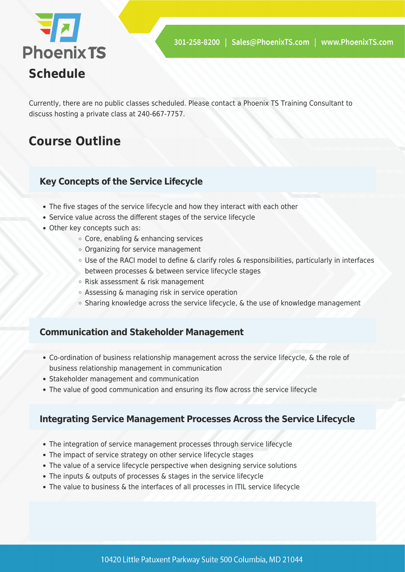

Currently, there are no public classes scheduled. Please contact a Phoenix TS Training Consultant to discuss hosting a private class at 240-667-7757.

## **Course Outline**

#### **Key Concepts of the Service Lifecycle**

- The five stages of the service lifecycle and how they interact with each other
- Service value across the different stages of the service lifecycle
- Other key concepts such as:
	- Core, enabling & enhancing services
	- Organizing for service management
	- Use of the RACI model to define & clarify roles & responsibilities, particularly in interfaces between processes & between service lifecycle stages
	- Risk assessment & risk management
	- Assessing & managing risk in service operation
	- Sharing knowledge across the service lifecycle, & the use of knowledge management

#### **Communication and Stakeholder Management**

- Co-ordination of business relationship management across the service lifecycle, & the role of business relationship management in communication
- Stakeholder management and communication
- The value of good communication and ensuring its flow across the service lifecycle

#### **Integrating Service Management Processes Across the Service Lifecycle**

- The integration of service management processes through service lifecycle
- The impact of service strategy on other service lifecycle stages
- The value of a service lifecycle perspective when designing service solutions
- The inputs & outputs of processes & stages in the service lifecycle
- The value to business & the interfaces of all processes in ITIL service lifecycle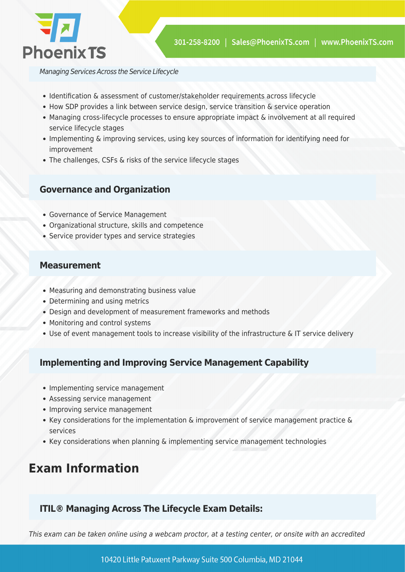

Managing Services Across the Service Lifecycle

- Identification & assessment of customer/stakeholder requirements across lifecycle
- How SDP provides a link between service design, service transition & service operation
- Managing cross-lifecycle processes to ensure appropriate impact & involvement at all required service lifecycle stages
- Implementing & improving services, using key sources of information for identifying need for improvement
- The challenges, CSFs & risks of the service lifecycle stages

#### **Governance and Organization**

- Governance of Service Management
- Organizational structure, skills and competence
- Service provider types and service strategies

#### **Measurement**

- Measuring and demonstrating business value
- Determining and using metrics
- Design and development of measurement frameworks and methods
- Monitoring and control systems
- Use of event management tools to increase visibility of the infrastructure & IT service delivery

#### **Implementing and Improving Service Management Capability**

- Implementing service management
- Assessing service management
- Improving service management
- Key considerations for the implementation & improvement of service management practice & services
- Key considerations when planning & implementing service management technologies

## **Exam Information**

#### **ITIL® Managing Across The Lifecycle Exam Details:**

This exam can be taken online using a webcam proctor, at a testing center, or onsite with an accredited

10420 Little Patuxent Parkway Suite 500 Columbia, MD 21044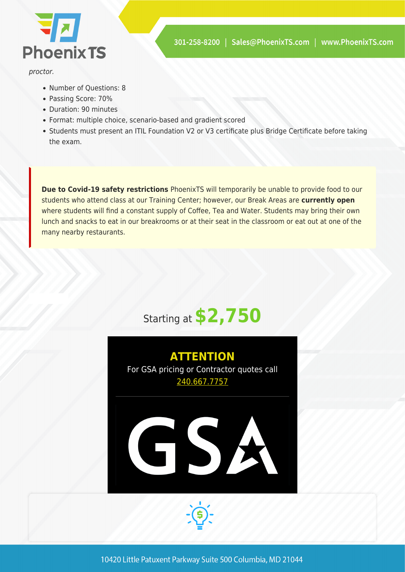

proctor.

- Number of Questions: 8
- Passing Score: 70%
- Duration: 90 minutes
- Format: multiple choice, scenario-based and gradient scored
- Students must present an ITIL Foundation V2 or V3 certificate plus Bridge Certificate before taking the exam.

**Due to Covid-19 safety restrictions** PhoenixTS will temporarily be unable to provide food to our students who attend class at our Training Center; however, our Break Areas are **currently open** where students will find a constant supply of Coffee, Tea and Water. Students may bring their own lunch and snacks to eat in our breakrooms or at their seat in the classroom or eat out at one of the many nearby restaurants.



# **ATTENTION** For GSA pricing or Contractor quotes call [240.667.7757](#page--1-0)GSZ